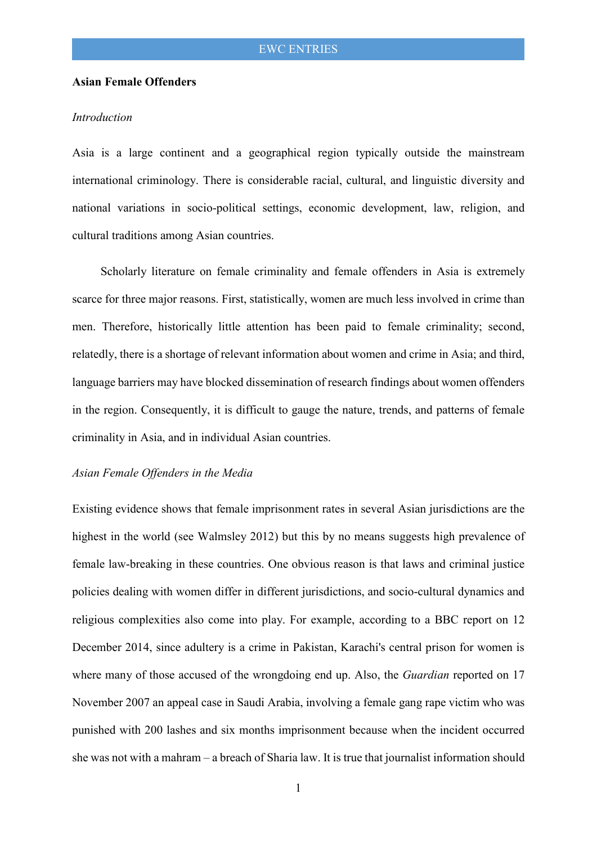### **Asian Female Offenders**

### *Introduction*

Asia is a large continent and a geographical region typically outside the mainstream international criminology. There is considerable racial, cultural, and linguistic diversity and national variations in socio-political settings, economic development, law, religion, and cultural traditions among Asian countries.

 Scholarly literature on female criminality and female offenders in Asia is extremely scarce for three major reasons. First, statistically, women are much less involved in crime than men. Therefore, historically little attention has been paid to female criminality; second, relatedly, there is a shortage of relevant information about women and crime in Asia; and third, language barriers may have blocked dissemination of research findings about women offenders in the region. Consequently, it is difficult to gauge the nature, trends, and patterns of female criminality in Asia, and in individual Asian countries.

#### *Asian Female Offenders in the Media*

Existing evidence shows that female imprisonment rates in several Asian jurisdictions are the highest in the world (see Walmsley 2012) but this by no means suggests high prevalence of female law-breaking in these countries. One obvious reason is that laws and criminal justice policies dealing with women differ in different jurisdictions, and socio-cultural dynamics and religious complexities also come into play. For example, according to a BBC report on 12 December 2014, since adultery is a crime in Pakistan, Karachi's central prison for women is where many of those accused of the wrongdoing end up. Also, the *Guardian* reported on 17 November 2007 an appeal case in Saudi Arabia, involving a female gang rape victim who was punished with 200 lashes and six months imprisonment because when the incident occurred she was not with a mahram – a breach of Sharia law. It is true that journalist information should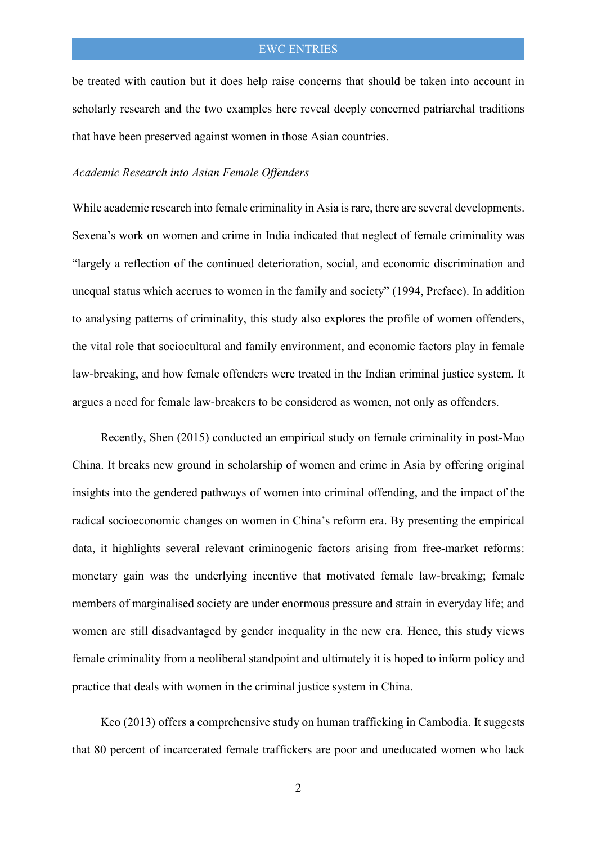# EWC ENTRIES

be treated with caution but it does help raise concerns that should be taken into account in scholarly research and the two examples here reveal deeply concerned patriarchal traditions that have been preserved against women in those Asian countries.

### *Academic Research into Asian Female Offenders*

While academic research into female criminality in Asia is rare, there are several developments. Sexena's work on women and crime in India indicated that neglect of female criminality was "largely a reflection of the continued deterioration, social, and economic discrimination and unequal status which accrues to women in the family and society" (1994, Preface). In addition to analysing patterns of criminality, this study also explores the profile of women offenders, the vital role that sociocultural and family environment, and economic factors play in female law-breaking, and how female offenders were treated in the Indian criminal justice system. It argues a need for female law-breakers to be considered as women, not only as offenders.

 Recently, Shen (2015) conducted an empirical study on female criminality in post-Mao China. It breaks new ground in scholarship of women and crime in Asia by offering original insights into the gendered pathways of women into criminal offending, and the impact of the radical socioeconomic changes on women in China's reform era. By presenting the empirical data, it highlights several relevant criminogenic factors arising from free-market reforms: monetary gain was the underlying incentive that motivated female law-breaking; female members of marginalised society are under enormous pressure and strain in everyday life; and women are still disadvantaged by gender inequality in the new era. Hence, this study views female criminality from a neoliberal standpoint and ultimately it is hoped to inform policy and practice that deals with women in the criminal justice system in China.

 Keo (2013) offers a comprehensive study on human trafficking in Cambodia. It suggests that 80 percent of incarcerated female traffickers are poor and uneducated women who lack

2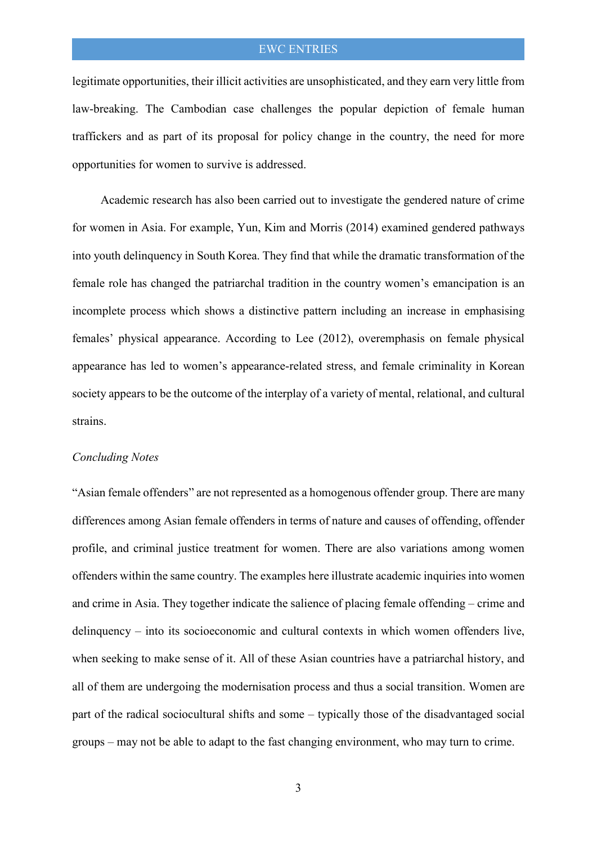# EWC ENTRIES

legitimate opportunities, their illicit activities are unsophisticated, and they earn very little from law-breaking. The Cambodian case challenges the popular depiction of female human traffickers and as part of its proposal for policy change in the country, the need for more opportunities for women to survive is addressed.

 Academic research has also been carried out to investigate the gendered nature of crime for women in Asia. For example, Yun, Kim and Morris (2014) examined gendered pathways into youth delinquency in South Korea. They find that while the dramatic transformation of the female role has changed the patriarchal tradition in the country women's emancipation is an incomplete process which shows a distinctive pattern including an increase in emphasising females' physical appearance. According to Lee (2012), overemphasis on female physical appearance has led to women's appearance-related stress, and female criminality in Korean society appears to be the outcome of the interplay of a variety of mental, relational, and cultural strains.

### *Concluding Notes*

"Asian female offenders" are not represented as a homogenous offender group. There are many differences among Asian female offenders in terms of nature and causes of offending, offender profile, and criminal justice treatment for women. There are also variations among women offenders within the same country. The examples here illustrate academic inquiries into women and crime in Asia. They together indicate the salience of placing female offending – crime and delinquency – into its socioeconomic and cultural contexts in which women offenders live, when seeking to make sense of it. All of these Asian countries have a patriarchal history, and all of them are undergoing the modernisation process and thus a social transition. Women are part of the radical sociocultural shifts and some – typically those of the disadvantaged social groups – may not be able to adapt to the fast changing environment, who may turn to crime.